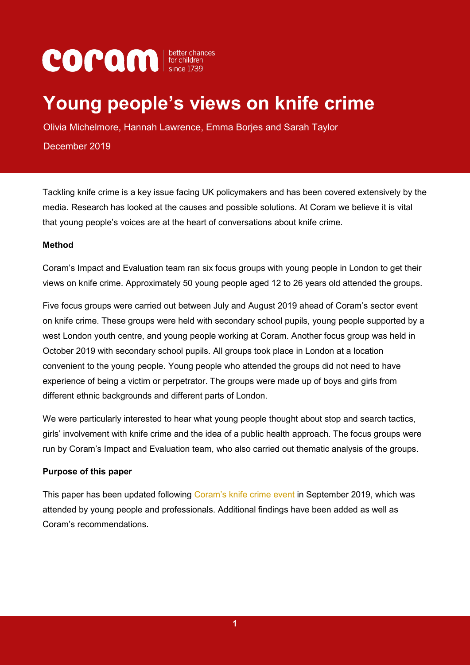# **COPOM** *since* 1739

# **Young people's views on knife crime**

Olivia Michelmore, Hannah Lawrence, Emma Borjes and Sarah Taylor

December 2019

Tackling knife crime is a key issue facing UK policymakers and has been covered extensively by the media. Research has looked at the causes and possible solutions. At Coram we believe it is vital that young people's voices are at the heart of conversations about knife crime.

#### **Method**

Coram's Impact and Evaluation team ran six focus groups with young people in London to get their views on knife crime. Approximately 50 young people aged 12 to 26 years old attended the groups.

Five focus groups were carried out between July and August 2019 ahead of Coram's sector event on knife crime. These groups were held with secondary school pupils, young people supported by a west London youth centre, and young people working at Coram. Another focus group was held in October 2019 with secondary school pupils. All groups took place in London at a location convenient to the young people. Young people who attended the groups did not need to have experience of being a victim or perpetrator. The groups were made up of boys and girls from different ethnic backgrounds and different parts of London.

We were particularly interested to hear what young people thought about stop and search tactics, girls' involvement with knife crime and the idea of a public health approach. The focus groups were run by Coram's Impact and Evaluation team, who also carried out thematic analysis of the groups.

#### **Purpose of this paper**

This paper has been updated following [Coram's knife crime event](https://www.coram.org.uk/news/knife-crime-event-coram-brings-young-people-and-professionals-together-find-solutions) in September 2019, which was attended by young people and professionals. Additional findings have been added as well as Coram's recommendations.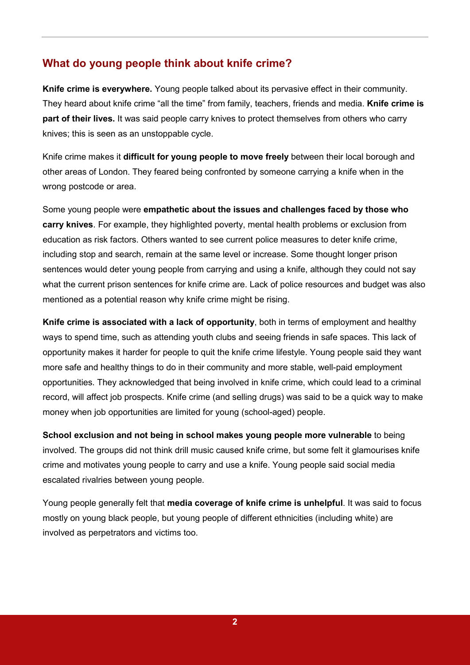#### **What do young people think about knife crime?**

**Knife crime is everywhere.** Young people talked about its pervasive effect in their community. They heard about knife crime "all the time" from family, teachers, friends and media. **Knife crime is part of their lives.** It was said people carry knives to protect themselves from others who carry knives; this is seen as an unstoppable cycle.

Knife crime makes it **difficult for young people to move freely** between their local borough and other areas of London. They feared being confronted by someone carrying a knife when in the wrong postcode or area.

Some young people were **empathetic about the issues and challenges faced by those who carry knives**. For example, they highlighted poverty, mental health problems or exclusion from education as risk factors. Others wanted to see current police measures to deter knife crime, including stop and search, remain at the same level or increase. Some thought longer prison sentences would deter young people from carrying and using a knife, although they could not say what the current prison sentences for knife crime are. Lack of police resources and budget was also mentioned as a potential reason why knife crime might be rising.

**Knife crime is associated with a lack of opportunity**, both in terms of employment and healthy ways to spend time, such as attending youth clubs and seeing friends in safe spaces. This lack of opportunity makes it harder for people to quit the knife crime lifestyle. Young people said they want more safe and healthy things to do in their community and more stable, well-paid employment opportunities. They acknowledged that being involved in knife crime, which could lead to a criminal record, will affect job prospects. Knife crime (and selling drugs) was said to be a quick way to make money when job opportunities are limited for young (school-aged) people.

**School exclusion and not being in school makes young people more vulnerable** to being involved. The groups did not think drill music caused knife crime, but some felt it glamourises knife crime and motivates young people to carry and use a knife. Young people said social media escalated rivalries between young people.

Young people generally felt that **media coverage of knife crime is unhelpful**. It was said to focus mostly on young black people, but young people of different ethnicities (including white) are involved as perpetrators and victims too.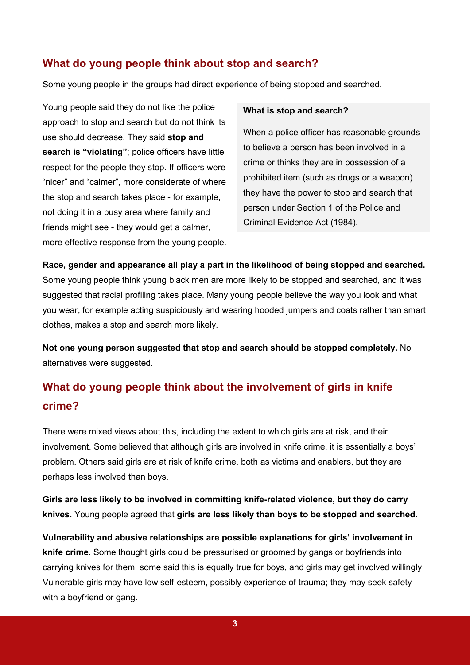#### **What do young people think about stop and search?**

Some young people in the groups had direct experience of being stopped and searched.

Young people said they do not like the police approach to stop and search but do not think its use should decrease. They said **stop and search is "violating"**; police officers have little respect for the people they stop. If officers were "nicer" and "calmer", more considerate of where the stop and search takes place - for example, not doing it in a busy area where family and friends might see - they would get a calmer, more effective response from the young people.

#### **What is stop and search?**

When a police officer has reasonable grounds to believe a person has been involved in a crime or thinks they are in possession of a prohibited item (such as drugs or a weapon) they have the power to stop and search that person under Section 1 of the Police and Criminal Evidence Act (1984).

**Race, gender and appearance all play a part in the likelihood of being stopped and searched.**  Some young people think young black men are more likely to be stopped and searched, and it was suggested that racial profiling takes place. Many young people believe the way you look and what you wear, for example acting suspiciously and wearing hooded jumpers and coats rather than smart clothes, makes a stop and search more likely.

**Not one young person suggested that stop and search should be stopped completely.** No alternatives were suggested.

# **What do young people think about the involvement of girls in knife crime?**

There were mixed views about this, including the extent to which girls are at risk, and their involvement. Some believed that although girls are involved in knife crime, it is essentially a boys' problem. Others said girls are at risk of knife crime, both as victims and enablers, but they are perhaps less involved than boys.

**Girls are less likely to be involved in committing knife-related violence, but they do carry knives.** Young people agreed that **girls are less likely than boys to be stopped and searched.** 

**Vulnerability and abusive relationships are possible explanations for girls' involvement in knife crime.** Some thought girls could be pressurised or groomed by gangs or boyfriends into carrying knives for them; some said this is equally true for boys, and girls may get involved willingly. Vulnerable girls may have low self-esteem, possibly experience of trauma; they may seek safety with a boyfriend or gang.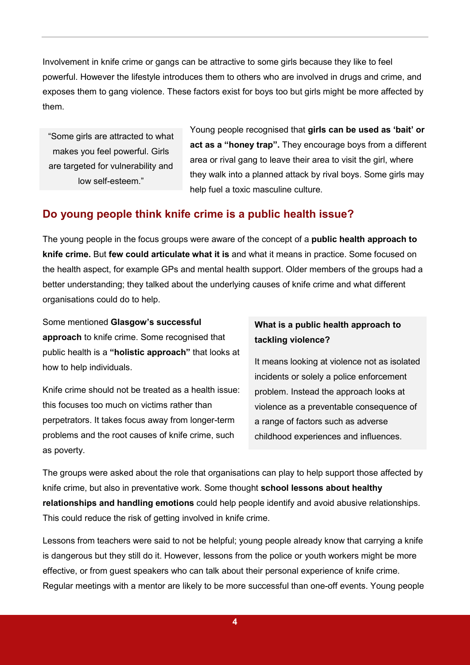Involvement in knife crime or gangs can be attractive to some girls because they like to feel powerful. However the lifestyle introduces them to others who are involved in drugs and crime, and exposes them to gang violence. These factors exist for boys too but girls might be more affected by them.

"Some girls are attracted to what makes you feel powerful. Girls are targeted for vulnerability and low self-esteem."

Young people recognised that **girls can be used as 'bait' or act as a "honey trap".** They encourage boys from a different area or rival gang to leave their area to visit the girl, where they walk into a planned attack by rival boys. Some girls may help fuel a toxic masculine culture.

# **Do young people think knife crime is a public health issue?**

The young people in the focus groups were aware of the concept of a **public health approach to knife crime.** But **few could articulate what it is** and what it means in practice. Some focused on the health aspect, for example GPs and mental health support. Older members of the groups had a better understanding; they talked about the underlying causes of knife crime and what different organisations could do to help.

Some mentioned **Glasgow's successful approach** to knife crime. Some recognised that public health is a **"holistic approach"** that looks at how to help individuals.

Knife crime should not be treated as a health issue: this focuses too much on victims rather than perpetrators. It takes focus away from longer-term problems and the root causes of knife crime, such as poverty.

#### **What is a public health approach to tackling violence?**

It means looking at violence not as isolated incidents or solely a police enforcement problem. Instead the approach looks at violence as a preventable consequence of a range of factors such as adverse childhood experiences and influences.

The groups were asked about the role that organisations can play to help support those affected by knife crime, but also in preventative work. Some thought **school lessons about healthy relationships and handling emotions** could help people identify and avoid abusive relationships. This could reduce the risk of getting involved in knife crime.

Lessons from teachers were said to not be helpful; young people already know that carrying a knife is dangerous but they still do it. However, lessons from the police or youth workers might be more effective, or from guest speakers who can talk about their personal experience of knife crime. Regular meetings with a mentor are likely to be more successful than one-off events. Young people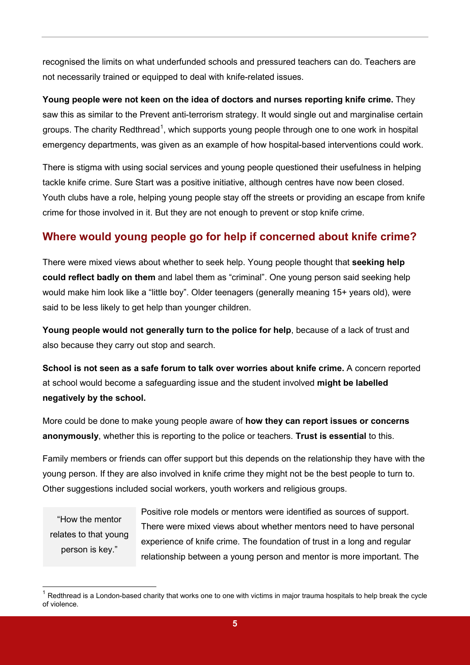recognised the limits on what underfunded schools and pressured teachers can do. Teachers are not necessarily trained or equipped to deal with knife-related issues.

**Young people were not keen on the idea of doctors and nurses reporting knife crime.** They saw this as similar to the Prevent anti-terrorism strategy. It would single out and marginalise certain groups. The charity Redthread<sup>[1](#page-4-0)</sup>, which supports young people through one to one work in hospital emergency departments, was given as an example of how hospital-based interventions could work.

There is stigma with using social services and young people questioned their usefulness in helping tackle knife crime. Sure Start was a positive initiative, although centres have now been closed. Youth clubs have a role, helping young people stay off the streets or providing an escape from knife crime for those involved in it. But they are not enough to prevent or stop knife crime.

# **Where would young people go for help if concerned about knife crime?**

There were mixed views about whether to seek help. Young people thought that **seeking help could reflect badly on them** and label them as "criminal". One young person said seeking help would make him look like a "little boy". Older teenagers (generally meaning 15+ years old), were said to be less likely to get help than younger children.

**Young people would not generally turn to the police for help**, because of a lack of trust and also because they carry out stop and search.

**School is not seen as a safe forum to talk over worries about knife crime.** A concern reported at school would become a safeguarding issue and the student involved **might be labelled negatively by the school.**

More could be done to make young people aware of **how they can report issues or concerns anonymously**, whether this is reporting to the police or teachers. **Trust is essential** to this.

Family members or friends can offer support but this depends on the relationship they have with the young person. If they are also involved in knife crime they might not be the best people to turn to. Other suggestions included social workers, youth workers and religious groups.

"How the mentor relates to that young person is key."

Positive role models or mentors were identified as sources of support. There were mixed views about whether mentors need to have personal experience of knife crime. The foundation of trust in a long and regular relationship between a young person and mentor is more important. The

<span id="page-4-0"></span> $1$  Redthread is a London-based charity that works one to one with victims in major trauma hospitals to help break the cycle of violence.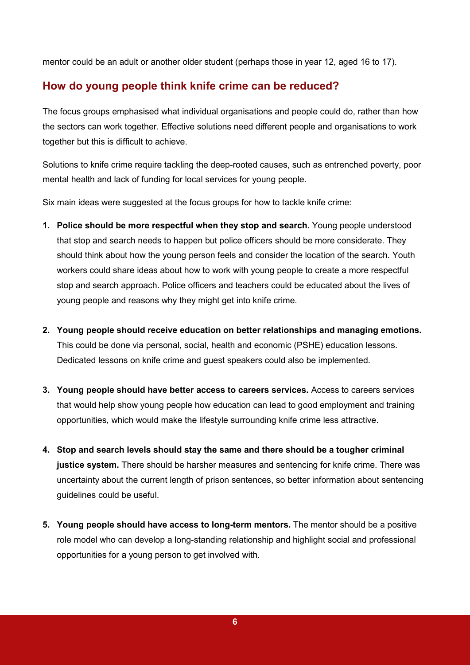mentor could be an adult or another older student (perhaps those in year 12, aged 16 to 17).

# **How do young people think knife crime can be reduced?**

The focus groups emphasised what individual organisations and people could do, rather than how the sectors can work together. Effective solutions need different people and organisations to work together but this is difficult to achieve.

Solutions to knife crime require tackling the deep-rooted causes, such as entrenched poverty, poor mental health and lack of funding for local services for young people.

Six main ideas were suggested at the focus groups for how to tackle knife crime:

- **1. Police should be more respectful when they stop and search.** Young people understood that stop and search needs to happen but police officers should be more considerate. They should think about how the young person feels and consider the location of the search. Youth workers could share ideas about how to work with young people to create a more respectful stop and search approach. Police officers and teachers could be educated about the lives of young people and reasons why they might get into knife crime.
- **2. Young people should receive education on better relationships and managing emotions.** This could be done via personal, social, health and economic (PSHE) education lessons. Dedicated lessons on knife crime and guest speakers could also be implemented.
- **3. Young people should have better access to careers services.** Access to careers services that would help show young people how education can lead to good employment and training opportunities, which would make the lifestyle surrounding knife crime less attractive.
- **4. Stop and search levels should stay the same and there should be a tougher criminal justice system.** There should be harsher measures and sentencing for knife crime. There was uncertainty about the current length of prison sentences, so better information about sentencing guidelines could be useful.
- **5. Young people should have access to long-term mentors.** The mentor should be a positive role model who can develop a long-standing relationship and highlight social and professional opportunities for a young person to get involved with.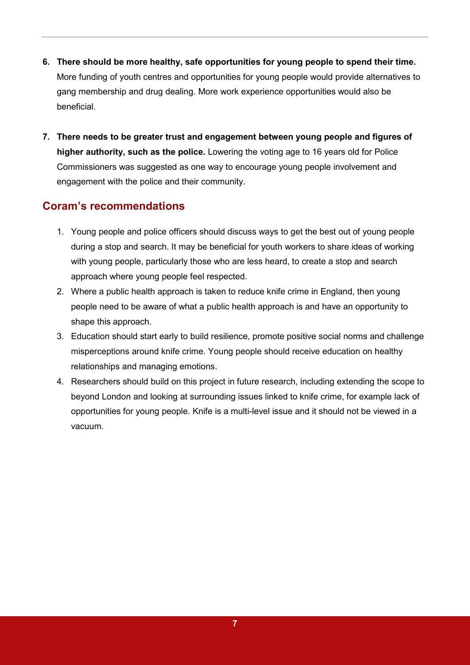- **6. There should be more healthy, safe opportunities for young people to spend their time.**  More funding of youth centres and opportunities for young people would provide alternatives to gang membership and drug dealing. More work experience opportunities would also be beneficial.
- **7. There needs to be greater trust and engagement between young people and figures of higher authority, such as the police.** Lowering the voting age to 16 years old for Police Commissioners was suggested as one way to encourage young people involvement and engagement with the police and their community.

#### **Coram's recommendations**

- 1. Young people and police officers should discuss ways to get the best out of young people during a stop and search. It may be beneficial for youth workers to share ideas of working with young people, particularly those who are less heard, to create a stop and search approach where young people feel respected.
- 2. Where a public health approach is taken to reduce knife crime in England, then young people need to be aware of what a public health approach is and have an opportunity to shape this approach.
- 3. Education should start early to build resilience, promote positive social norms and challenge misperceptions around knife crime. Young people should receive education on healthy relationships and managing emotions.
- 4. Researchers should build on this project in future research, including extending the scope to beyond London and looking at surrounding issues linked to knife crime, for example lack of opportunities for young people. Knife is a multi-level issue and it should not be viewed in a vacuum.